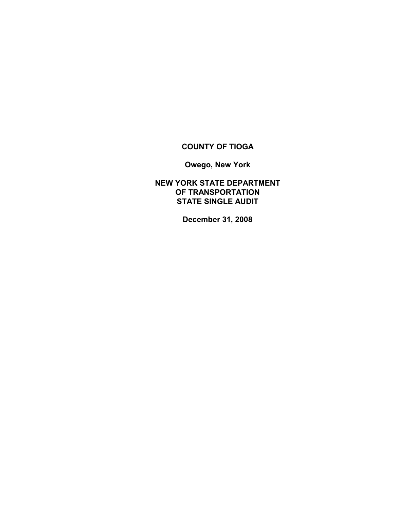## **COUNTY OF TIOGA**

**Owego, New York**

**NEW YORK STATE DEPARTMENT OF TRANSPORTATION STATE SINGLE AUDIT**

**December 31, 2008**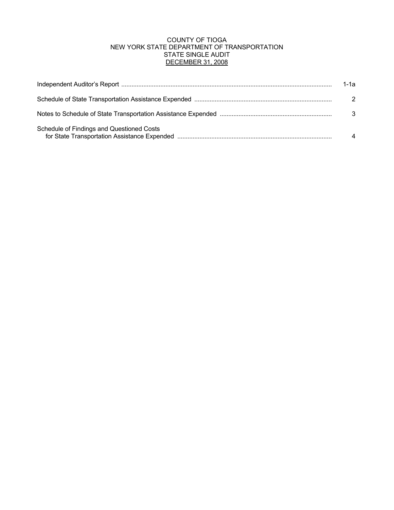## COUNTY OF TIOGA NEW YORK STATE DEPARTMENT OF TRANSPORTATION STATE SINGLE AUDIT DECEMBER 31, 2008

|                                           | 1-1а          |
|-------------------------------------------|---------------|
|                                           | $\mathcal{P}$ |
|                                           | 3             |
| Schedule of Findings and Questioned Costs |               |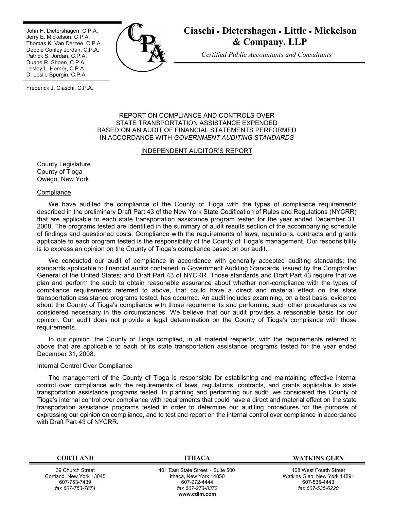John H. Dietershagen, C.P.A. Jerry E. Mickelson, C.P.A. Thomas K. Van Derzee, C.P.A. Debbie Conley Jordan, C.P.A. Patrick S. Jordan, C.P.A. Duane R. Shoen, C.P.A. Lesley L. Horner, C.P.A. D. Leslie Spurgin, C.P.A.



# **Ciaschi** · **Dietershagen** · **Little** · **Mickelson & Company, LLP**

*Certified Public Accountants and Consultants*

Frederick J. Ciaschi, C.P.A.

#### REPORT ON COMPLIANCE AND CONTROLS OVER STATE TRANSPORTATION ASSISTANCE EXPENDED BASED ON AN AUDIT OF FINANCIAL STATEMENTS PERFORMED IN ACCORDANCE WITH *GOVERNMENT AUDITING STANDARDS*

#### INDEPENDENT AUDITOR'S REPORT

County Legislature County of Tioga Owego, New York

#### **Compliance**

We have audited the compliance of the County of Tioga with the types of compliance requirements described in the preliminary Draft Part 43 of the New York State Codification of Rules and Regulations (NYCRR) that are applicable to each state transportation assistance program tested for the year ended December 31, 2008. The programs tested are identified in the summary of audit results section of the accompanying schedule of findings and questioned costs. Compliance with the requirements of laws, regulations, contracts and grants applicable to each program tested is the responsibility of the County of Tioga's management. Our responsibility is to express an opinion on the County of Tioga's compliance based on our audit.

We conducted our audit of compliance in accordance with generally accepted auditing standards; the standards applicable to financial audits contained in Government Auditing Standards, issued by the Comptroller General of the United States; and Draft Part 43 of NYCRR. Those standards and Draft Part 43 require that we plan and perform the audit to obtain reasonable assurance about whether non-compliance with the types of compliance requirements referred to above, that could have a direct and material effect on the state transportation assistance programs tested, has occurred. An audit includes examining, on a test basis, evidence about the County of Tioga's compliance with those requirements and performing such other procedures as we considered necessary in the circumstances. We believe that our audit provides a reasonable basis for our opinion. Our audit does not provide a legal determination on the County of Tioga's compliance with those requirements.

In our opinion, the County of Tioga complied, in all material respects, with the requirements referred to above that are applicable to each of its state transportation assistance programs tested for the year ended December 31, 2008.

#### Internal Control Over Compliance

The management of the County of Tioga is responsible for establishing and maintaining effective internal control over compliance with the requirements of laws, regulations, contracts, and grants applicable to state transportation assistance programs tested. In planning and performing our audit, we considered the County of Tioga's internal control over compliance with requirements that could have a direct and material effect on the state transportation assistance programs tested in order to determine our auditing procedures for the purpose of expressing our opinion on compliance, and to test and report on the internal control over compliance in accordance with Draft Part 43 of NYCRR.

39 Church Street Cortland, New York 13045 607-753-7439 *fax 607-753-7874*

401 East State Street ~ Suite 500 Ithaca, New York 14850 607-272-4444 *fax 607-273-8372* **w[ww.cdlm.com](www.cdlm.com)**

**CORTLAND ITHACA WATKINS GLEN**

108 West Fourth Street Watkins Glen, New York 14891 607-535-4443 *fax 607-535-6220*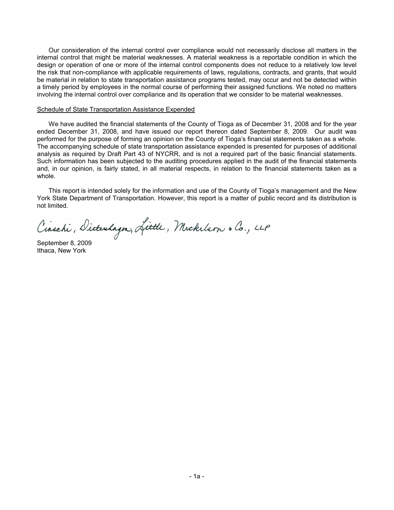Our consideration of the internal control over compliance would not necessarily disclose all matters in the internal control that might be material weaknesses. A material weakness is a reportable condition in which the design or operation of one or more of the internal control components does not reduce to a relatively low level the risk that non-compliance with applicable requirements of laws, regulations, contracts, and grants, that would be material in relation to state transportation assistance programs tested, may occur and not be detected within a timely period by employees in the normal course of performing their assigned functions. We noted no matters involving the internal control over compliance and its operation that we consider to be material weaknesses.

#### Schedule of State Transportation Assistance Expended

We have audited the financial statements of the County of Tioga as of December 31, 2008 and for the year ended December 31, 2008, and have issued our report thereon dated September 8, 2009. Our audit was performed for the purpose of forming an opinion on the County of Tioga's financial statements taken as a whole. The accompanying schedule of state transportation assistance expended is presented for purposes of additional analysis as required by Draft Part 43 of NYCRR, and is not a required part of the basic financial statements. Such information has been subjected to the auditing procedures applied in the audit of the financial statements and, in our opinion, is fairly stated, in all material respects, in relation to the financial statements taken as a whole.

This report is intended solely for the information and use of the County of Tioga's management and the New York State Department of Transportation. However, this report is a matter of public record and its distribution is not limited.

Cinschi, Dicturlagn, Little, Mickelson & Co., LLP

September 8, 2009 Ithaca, New York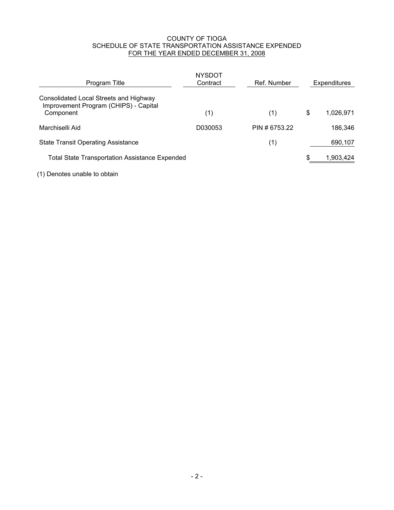#### COUNTY OF TIOGA SCHEDULE OF STATE TRANSPORTATION ASSISTANCE EXPENDED FOR THE YEAR ENDED DECEMBER 31, 2008

| Program Title                                                                                | <b>NYSDOT</b><br>Contract | Ref. Number   | <b>Expenditures</b> |
|----------------------------------------------------------------------------------------------|---------------------------|---------------|---------------------|
| Consolidated Local Streets and Highway<br>Improvement Program (CHIPS) - Capital<br>Component | (1)                       | (1)           | \$<br>1,026,971     |
| Marchiselli Aid                                                                              | D030053                   | PIN # 6753.22 | 186,346             |
| <b>State Transit Operating Assistance</b>                                                    |                           | (1)           | 690,107             |
| <b>Total State Transportation Assistance Expended</b>                                        |                           |               | 1,903,424           |

(1) Denotes unable to obtain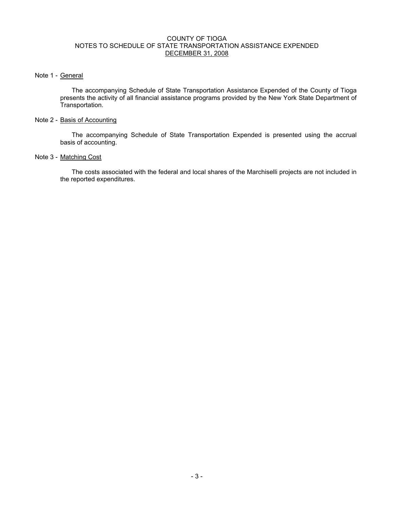#### COUNTY OF TIOGA NOTES TO SCHEDULE OF STATE TRANSPORTATION ASSISTANCE EXPENDED DECEMBER 31, 2008

## Note 1 - General

The accompanying Schedule of State Transportation Assistance Expended of the County of Tioga presents the activity of all financial assistance programs provided by the New York State Department of Transportation.

#### Note 2 - Basis of Accounting

The accompanying Schedule of State Transportation Expended is presented using the accrual basis of accounting.

## Note 3 - Matching Cost

The costs associated with the federal and local shares of the Marchiselli projects are not included in the reported expenditures.